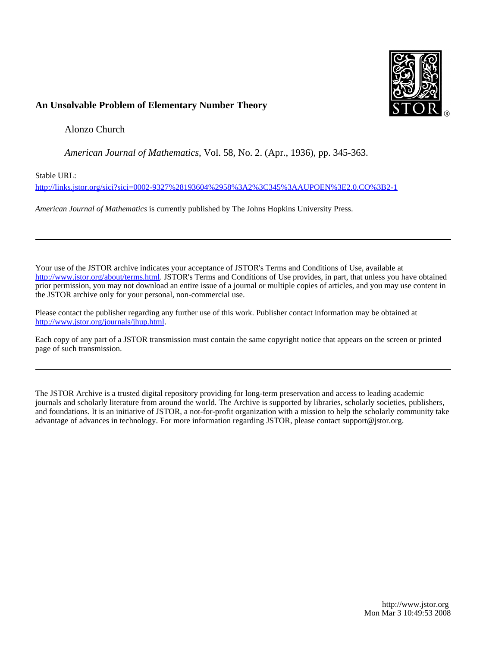

## **An Unsolvable Problem of Elementary Number Theory**

Alonzo Church

*American Journal of Mathematics*, Vol. 58, No. 2. (Apr., 1936), pp. 345-363.

Stable URL:

<http://links.jstor.org/sici?sici=0002-9327%28193604%2958%3A2%3C345%3AAUPOEN%3E2.0.CO%3B2-1>

*American Journal of Mathematics* is currently published by The Johns Hopkins University Press.

Your use of the JSTOR archive indicates your acceptance of JSTOR's Terms and Conditions of Use, available at [http://www.jstor.org/about/terms.html.](http://www.jstor.org/about/terms.html) JSTOR's Terms and Conditions of Use provides, in part, that unless you have obtained prior permission, you may not download an entire issue of a journal or multiple copies of articles, and you may use content in the JSTOR archive only for your personal, non-commercial use.

Please contact the publisher regarding any further use of this work. Publisher contact information may be obtained at <http://www.jstor.org/journals/jhup.html>.

Each copy of any part of a JSTOR transmission must contain the same copyright notice that appears on the screen or printed page of such transmission.

The JSTOR Archive is a trusted digital repository providing for long-term preservation and access to leading academic journals and scholarly literature from around the world. The Archive is supported by libraries, scholarly societies, publishers, and foundations. It is an initiative of JSTOR, a not-for-profit organization with a mission to help the scholarly community take advantage of advances in technology. For more information regarding JSTOR, please contact support@jstor.org.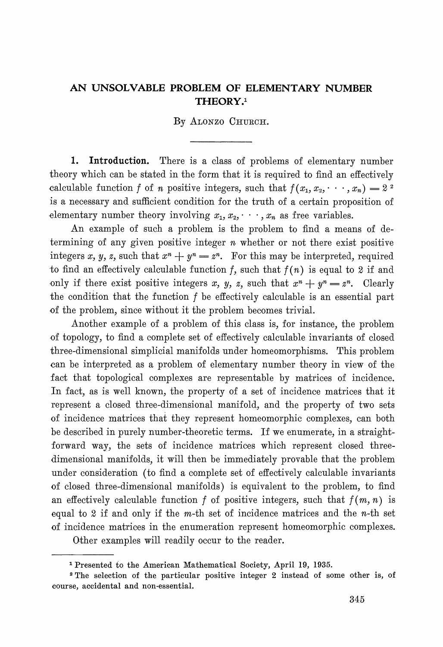## AN UNSOLVABLE PROBLEM OF ELEMENTARY NUMBER THEORY.<sup>1</sup>

By ALONZO CHURCH.

**1.** Introduction. There is a class of problems of elementary number theory which can be stated in the form that it is required to find an effectively calculable function f of n positive integers, such that  $f(x_1, x_2, \dots, x_n) = 2^{2}$ is a necessary and sufficient condition for the truth of a certain proposition of elementary number theory involving  $x_1, x_2, \dots, x_n$  as free variables.

An example of such a problem is the problem to find a means of determining of any given positive integer n whether or not there exist positive integers x, y, z, such that  $x^n + y^n = z^n$ . For this may be interpreted, required to find an effectively calculable function  $f$ , such that  $f(n)$  is equal to 2 if and only if there exist positive integers x, y, z, such that  $x^n + y^n = z^n$ . Clearly the condition that the function f be effectively calculable is an essential part of the problem, since without it the problem becomes trivial.

Another example of a problem of this class is, for instance, the problem of topology, to find a complete set of effectively calculable invariants of closed three-dimensional simplicia1 manifolds under homeomorphisms. This problem can be interpreted as a problem of elementary number theory in view of the fact that topological complexes are representable by matrices of incidence. In fact, as is well known, the property of a set of incidence matrices that it represent a closed three-dimensional manifold, and the property of two sets of incidence matrices that they represent homeomorphic complexes, can both be described in purely number-theoretic terms. If we enumerate, in a straightforward way, the sets of incidence matrices which represent closed threedimensional manifolds, it will then be immediately provable that the problem under consideration (to find a complete set of effectively calculable invariants of closed three-dimensional manifolds) is equivalent to the problem, to find an effectively calculable function f of positive integers, such that  $f(m, n)$  is equal to 2 if and only if the  $m$ -th set of incidence matrices and the  $n$ -th set of incidence matrices in the enumeration represent homeomorphic complexes.

Other examples will readily occur to the reader.

Presented to the American Mathematical Society, April 19, 1935.

The selection of the particular positive integer 2 instead of some other is, of course, accidental and non-essential.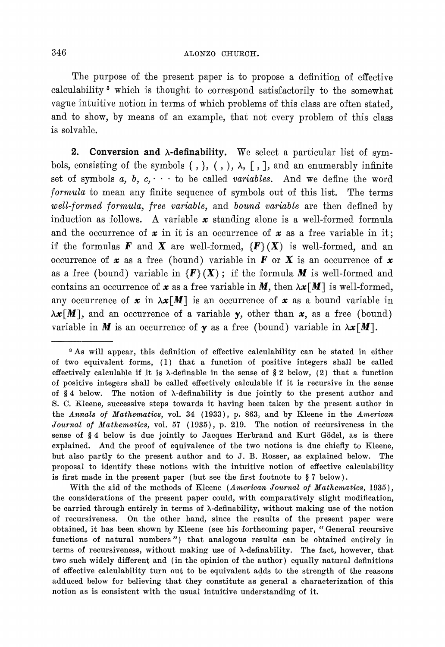The purpose of the present paper is to propose a definition of effective calculability<sup>3</sup> which is thought to correspond satisfactorily to the somewhat vague intuitive notion in terms of which problems of this class are often stated, and to show, by means of an example, that not every problem of this class is solvable.

**2.** Conversion and  $\lambda$ -definability. We select a particular list of symbols, consisting of the symbols  $\{\, ,\, \},\,$  (, ),  $\lambda$ ,  $[$ ,  $]$ , and an enumerably infinite set of symbols  $a, b, c, \cdots$  to be called *variables*. And we define the word formula to mean any finite sequence of symbols out of this list. The terms well-formed formula, free variable, and bound variable are then defined by induction as follows. A variable  $x$  standing alone is a well-formed formula and the occurrence of  $x$  in it is an occurrence of  $x$  as a free variable in it; if the formulas  $F$  and  $X$  are well-formed,  $\{F\}(X)$  is well-formed, and an occurrence of x as a free (bound) variable in  $\bf{F}$  or  $\bf{X}$  is an occurrence of x as a free (bound) variable in  $\{F\}(X)$ ; if the formula M is well-formed and contains an occurrence of x as a free variable in M, then  $\lambda x[M]$  is well-formed, any occurrence of x in  $\lambda x[M]$  is an occurrence of x as a bound variable in  $\lambda \mathbf{x}[M]$ , and an occurrence of a variable y, other than x, as a free (bound) variable in M is an occurrence of  $y$  as a free (bound) variable in  $\lambda x[M]$ .

As will appear, this definition of effective calculability can be stated in either of two equivalent forms, (1) that a function of positive integers shall be called effectively calculable if it is h-definable in the sense of \$2 below, **(2)** that a function of positive integers shall be called effectively calculable if it is recursive in the sense of  $§ 4$  below. The notion of  $\lambda$ -definability is due jointly to the present author and S. C. Kleene, successive steps towards it having been taken by the present author in the Annals of Mathematics, vol. 34 (1933), p. 863, and by Kleene in the American Journal of Mathematics, vol. 57 (1935), p. 219. The notion of recursiveness in the sense of  $§ 4$  below is due jointly to Jacques Herbrand and Kurt Gödel, as is there explained. And the proof of equivalence of the two notions is due chiefly to Kleene, but also partly to the present author and to J. B. Rosser, as explained below. The proposal to identify these notions with the intuitive notion of effective calculability is first made in the present paper (but see the first footnote to \$7 below).

With the aid of the methods of Kleene (American Journal of Mathematics, 1935), the considerations of the present paper could, with comparatively slight modification, be carried through entirely in terms of X-definability, without making use of the notion of recursiveness. On the other hand, since the results of the present paper were obtained, it has been shown by Kleene (see his forthcoming paper, "General recursive functions of natural numbers") that analogous results can be obtained entirely in terms of recursiveness, without making use of X-definability. The fact, however, that two such widely different and (in the opinion of the author) equally natural definitions of effective calculability turn out to be equivalent adds to the strength of the reasons adduced below for believing that they constitute as general a characterization of this notion as is consistent with the usual intuitive understanding of it.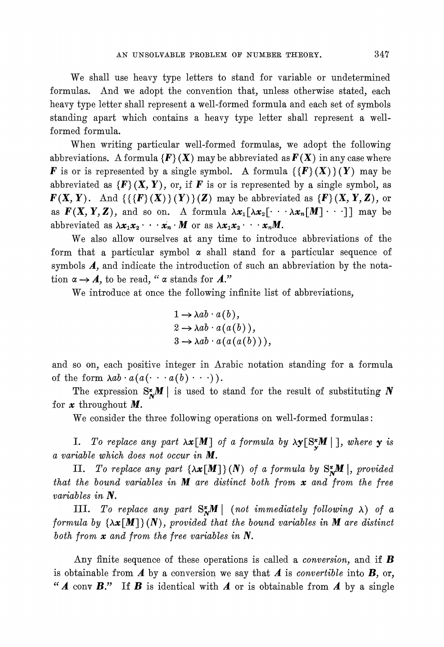We shall use heavy type letters to stand for variable or undetermined formulas. And we adopt the convention that, unless otherwise stated, each heavy type letter shall represent a well-formed formula and each set of symbols standing apart which contains a heavy type letter shall represent a wellformed formula.

When writing particular well-formed formulas, we adopt the following abbreviations. A formula  $\{F\}(X)$  may be abbreviated as  $F(X)$  in any case where **F** is or is represented by a single symbol. A formula  $\{ \{F\}(X)\}(Y)$  may be abbreviated as  $\{F\}(X, Y)$ , or, if F is or is represented by a single symbol, as  $\mathbf{F}(\mathbf{X}, \mathbf{Y})$ . And  $\{\{\{\mathbf{F}\}(\mathbf{X})\}(\mathbf{Y})\}(\mathbf{Z})$  may be abbreviated as  $\{\mathbf{F}\}(\mathbf{X}, \mathbf{Y}, \mathbf{Z})$ , or as  $F(X, Y, Z)$ , and so on. A formula  $\lambda x_1[\lambda x_2[\cdot \cdot \cdot \lambda x_n/M] \cdot \cdot \cdot]$  may be abbreviated as  $\lambda x_1 x_2 \cdot \cdot \cdot x_n \cdot M$  or as  $\lambda x_1 x_2 \cdot \cdot \cdot x_n M$ .

We also allow ourselves at any time to introduce abbreviations of the form that a particular symbol  $\alpha$  shall stand for a particular sequence of symbols  $\boldsymbol{A}$ , and indicate the introduction of such an abbreviation by the notation  $\alpha \rightarrow A$ , to be read, " $\alpha$  stands for A."

We introduce at once the following infinite list of abbreviations,

$$
1 \rightarrow \lambda ab \cdot a(b),
$$
  
\n
$$
2 \rightarrow \lambda ab \cdot a(a(b)),
$$
  
\n
$$
3 \rightarrow \lambda ab \cdot a(a(a(b))),
$$

and so on, each positive integer in Arabic notation standing for a formula of the form  $\lambda ab \cdot a(a(\cdot \cdot \cdot a(b) \cdot \cdot \cdot)).$ 

The expression  $S^x_{\mathbf{x}}M$  is used to stand for the result of substituting N for  $x$  throughout  $M$ .

We consider the three following operations on well-formed formulas :

I. To replace any part  $\lambda \mathbf{x}[M]$  of a formula by  $\lambda \mathbf{y}[S^{\mathbf{x}}_{\mathbf{x}}M \mid ]$ , where  $\mathbf{y}$  is a variable which does not occur in M.

11. To replace any part  $\{ \lambda x \llbracket M \rrbracket \}$  (N) of a formula by  $S^*_{x}M$ , provided that the bound variables in  $M$  are distinct both from  $x$  and from the free variables in N.

**111.** To replace any part  $S^*_{\infty}M$  (not immediately following  $\lambda$ ) of a formula by  $\{ \lambda x \in M \} \ (N)$ , provided that the bound variables in M are distinct both from  $x$  and from the free variables in  $N$ .

Any finite sequence of these operations is called a *conversion*, and if **B** is obtainable from  $\boldsymbol{A}$  by a conversion we say that  $\boldsymbol{A}$  is *convertible* into  $\boldsymbol{B}$ , or, " $A$  conv  $B$ ." If  $B$  is identical with  $A$  or is obtainable from  $A$  by a single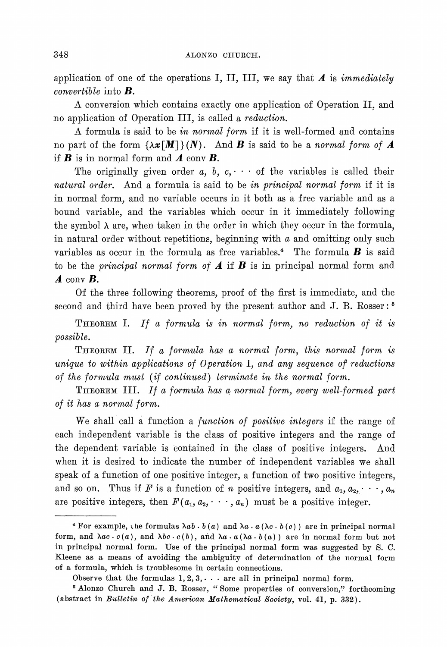application of one of the operations I, II, III, we say that  $\boldsymbol{A}$  is *immediately convertible* into  $\boldsymbol{B}$ .

A conversion which contains exactly one application of Operation II, and no application of Operation III, is called a *reduction*.

A formula is said to be in normal form if it is well-formed and contains no part of the form  $\{\lambda x \in M\}$  (N). And **B** is said to be a normal form of **A** if B is in normal form and *A* conv B.

The originally given order a, b,  $c, \dots$  of the variables is called their natural order. And a formula is said to be in principal normal form if it is in normal form, and no variable occurs in it both as a free variable and as a bound variable, and the variables which occur in it immediately following the symbol  $\lambda$  are, when taken in the order in which they occur in the formula, in natural order without repetitions, beginning with  $a$  and omitting only such variables as occur in the formula as free variables.<sup>4</sup> The formula  $\boldsymbol{B}$  is said to be the *principal normal form of*  $\boldsymbol{A}$  if  $\boldsymbol{B}$  is in principal normal form and *A* conv B.

Of the three following theorems, proof of the first is immediate, and the second and third have been proved by the present author and J. B. Rosser:<sup>5</sup>

THEOREMI. If a formula is in normal form, no reduction of it is possible.

THEOREM II. If a formula has a normal form, this normal form is unique to within applications of Operation I, and any sequence of reductions of the formula must (if continued) terminate in the normal form.

THEOREM III. If a formula has a normal form, every well-formed part of it has a normal form.

We shall call a function a *function of positive integers* if the range of each independent variable is the class of positive integers and the range of the dependent variable is contained in the class of positive integers. And when it is desired to indicate the number of independent variables we shall speak of a function of one positive integer, a function of two positive integers, and so on. Thus if F is a function of n positive integers, and  $a_1, a_2, \dots, a_n$ are positive integers, then  $F(a_1, a_2, \dots, a_n)$  must be a positive integer.

For example, the formulas  $\lambda ab \cdot b(a)$  and  $\lambda a \cdot a(\lambda c \cdot b(c))$  are in principal normal form, and  $\lambda ac \cdot c(a)$ , and  $\lambda bc \cdot c(b)$ , and  $\lambda a \cdot a(\lambda a \cdot b(a))$  are in normal form but not in principal normal form. Use of the principal normal form was suggested by S. C. Kleene as a means of avoiding the ambiguity of determination of the normal form of a formula, which is troublesome in certain connections.

Observe that the formulas  $1, 2, 3, \ldots$  are all in principal normal form.

Alonzo Church and J. B. Rosser, "Some properties of conversion,'? forthcoming (abstract in Bulletin **of** the American Mathematical Bociety, vol. 41, p. 332).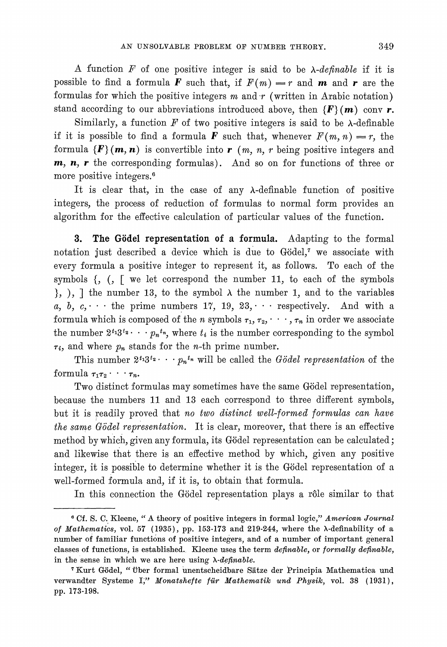A function  $F$  of one positive integer is said to be  $\lambda$ -definable if it is possible to find a formula **F** such that, if  $F(m) = r$  and **m** and **r** are the formulas for which the positive integers m and  $r$  (written in Arabic notation) stand according to our abbreviations introduced above, then  $\{F\}(m)$  conv r.

Similarly, a function  $F$  of two positive integers is said to be  $\lambda$ -definable if it is possible to find a formula **F** such that, whenever  $F(m, n) = r$ , the formula  $\{F\}(\boldsymbol{m}, \boldsymbol{n})$  is convertible into  $\boldsymbol{r}$  ( $m, n, r$  being positive integers and  $m, n, r$  the corresponding formulas). And so on for functions of three or more positive integers.<sup>6</sup>

It is clear that, in the case of any  $\lambda$ -definable function of positive integers, the process of reduction of formulas to normal form provides an algorithm for the effective calculation of particular values of the function.

**3.** The Gödel representation of a formula. Adapting to the formal notation just described a device which is due to Gödel,<sup>7</sup> we associate with every formula a positive integer to represent it, as follows. To each of the symbols  $\{$ ,  $\}$ ,  $\Gamma$  we let correspond the number 11, to each of the symbols  $\}$ ,  $\}$ ,  $\}$  the number 13, to the symbol  $\lambda$  the number 1, and to the variables a, b, c, $\cdots$  the prime numbers 17, 19, 23, $\cdots$  respectively. And with a formula which is composed of the *n* symbols  $\tau_1, \tau_2, \dots, \tau_n$  in order we associate the number  $2^{t_1}3^{t_2}\cdots p_n^{t_n}$ , where  $t_i$  is the number corresponding to the symbol  $\tau_i$ , and where  $p_n$  stands for the *n*-th prime number.

This number  $2^{t_1}3^{t_2}\cdots p_n^{t_n}$  will be called the Gödel representation of the formula  $\tau_1 \tau_2 \cdot \cdot \cdot \tau_n$ .

Two distinct formulas may sometimes have the same Gödel representation, because the numbers 11 and 13 each correspond to three different symbols, but it is readily proved that no two distinct well-formed formulas can have the same Gödel representation. It is clear, moreover, that there is an effective method by which, given any formula, its Gödel representation can be calculated; and likewise that there is an effective method by which, given any positive integer, it is possible to determine whether it is the Gödel representation of a well-formed formula and, if it is, to obtain that formula.

In this connection the Gödel representation plays a rôle similar to that

Cf. S. C. Kleene, "A theory of positive integers in formal logic," American Journal of Nathematics, vol. 57 (1935), pp. 153-173 and 219-244, where the A-definability of a number of familiar functions of positive integers, and of a number of important general classes of functions, is established. Kleene uses the term definable, or formally definable, in the sense in which we are here using  $\lambda$ -definable.

<sup>&</sup>lt;sup>7</sup> Kurt Gödel, "Über formal unentscheidbare Sätze der Principia Mathematica und verwandter Systeme I," Monatshefte für Mathematik und Physik, vol. 38 (1931), pp. 173-198.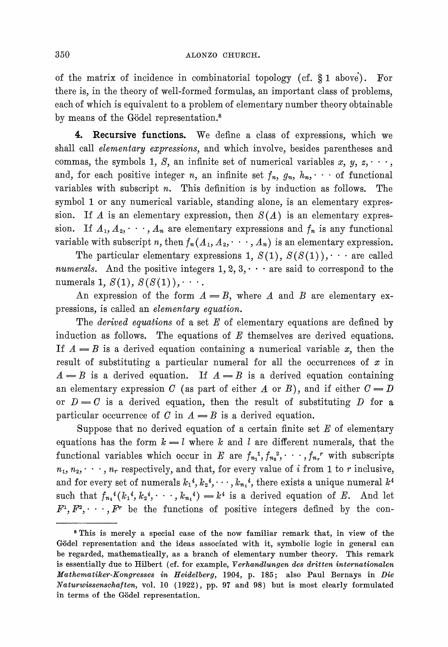of the matrix of incidence in combinatorial topology (cf. *5* 1 above'). For there is, in the theory of well-formed formulas, an important class of problems, each of which is equivalent to a problem of elementary number theory obtainable by means of the Gödel representation.<sup>8</sup>

4. Recursive functions. We define a class of expressions, which we shall call *elementary expressions*, and which involve, besides parentheses and commas, the symbols 1, *S*, an infinite set of numerical variables  $x, y, z, \dots$ , and, for each positive integer *n*, an infinite set  $f_n$ ,  $g_n$ ,  $h_n$ ,  $\cdots$  of functional variables with subscript  $n$ . This definition is by induction as follows. The symbol 1 or any numerical variable, standing alone, is an elementary expression. If A is an elementary expression, then  $S(A)$  is an elementary expression. If  $A_1, A_2, \dots, A_n$  are elementary expressions and  $f_n$  is any functional variable with subscript n, then  $f_n(A_1, A_2, \dots, A_n)$  is an elementary expression.

The particular elementary expressions 1,  $S(1)$ ,  $S(S(1))$ ,  $\cdots$  are called numerals. And the positive integers  $1, 2, 3, \cdots$  are said to correspond to the numerals 1,  $S(1)$ ,  $S(S(1))$ ,  $\cdots$ .

An expression of the form  $A = B$ , where A and B are elementary expressions, is called an elementary equation.

The *derived equations* of a set  $E$  of elementary equations are defined by induction as follows. The equations of  $E$  themselves are derived equations. If  $A = B$  is a derived equation containing a numerical variable x, then the result of substituting a particular numeral for all the occurrences of  $x$  in  $A = B$  is a derived equation. If  $A = B$  is a derived equation containing an elementary expression C (as part of either A or B), and if either  $C = D$ or  $D = C$  is a derived equation, then the result of substituting D for a particular occurrence of C in  $A = B$  is a derived equation.

Suppose that no derived equation of a certain finite set  $E$  of elementary equations has the form  $k = l$  where k and l are different numerals, that the functional variables which occur in E are  $f_{n_1}^1, f_{n_2}^2, \dots, f_{n_r}^r$  with subscripts  $n_1, n_2, \dots, n_r$  respectively, and that, for every value of *i* from 1 to *r* inclusive, and for every set of numerals  $k_1$ <sup>i</sup>,  $k_2$ <sup>i</sup>,  $\cdots$ ,  $k_{n_i}$ <sup>i</sup>, there exists a unique numeral  $k$ <sup>i</sup> such that  $f_{n_i} (k_1, k_2, \dots, k_{n_i}) = k^i$  is a derived equation of E. And let  $F^1, F^2, \dots, F^r$  be the functions of positive integers defined by the con-

s This is merely a special case of the now familiar remark that, in view of the Gödel representation and the ideas associated with it, symbolic logic in general can be regarded, mathematically, as a branch of elementary number theory. This remark is essentially due to Hilbert (cf. for example, Verhandlungen des dritten internationalen Mathematikey-Kongresses in Heidelberg, 1994, p. 185; also Paul Bernays in Die Naturwissenschaften, vol. 10 (1922), pp. 97 and 98) but is most clearly formulated in terms of the GGdel representation.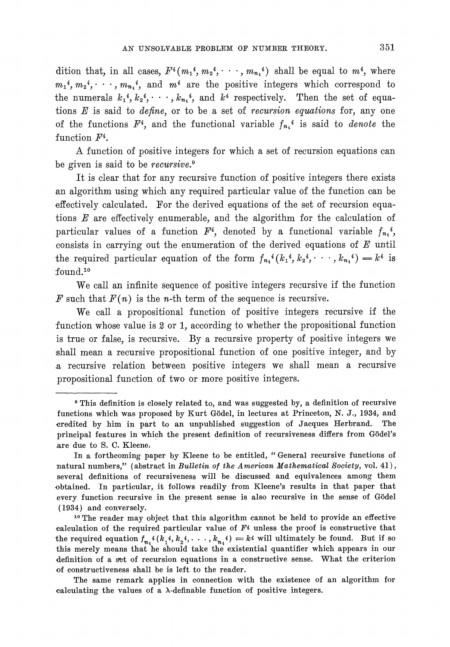dition that, in all cases,  $F^{i}(m_1^{i}, m_2^{i}, \dots, m_{n_i}^{i})$  shall be equal to  $m^{i}$ , where  $m_1$ <sup>i</sup>,  $m_2$ <sup>i</sup>,  $\cdots$ ,  $m_{n_i}$ <sup>i</sup>, and  $m$ <sup>i</sup> are the positive integers which correspond to the numerals  $k_1$ <sup>*i*</sup>,  $k_2$ <sup>*i*</sup>,  $\cdots$ ,  $k_{n_i}$ <sup>*i*</sup>, and  $k$ <sup>*i*</sup> respectively. Then the set of equations  $E$  is said to *define*, or to be a set of *recursion equations* for, any one of the functions  $F^i$ , and the functional variable  $f_{n,i}$  is said to *denote* the function  $F^i$ .

A function of positive integers for which a set of recursion equations can be given is said to be *recursive*.<sup>9</sup>

It is clear that for any recursive function of positive integers there exists an algorithm using which any required particular value of the function can be effectively calculated. For the derived equations of the set of recursion equations *B* are effectively enumerable, and the algorithm for the calculation of particular values of a function  $F^i$ , denoted by a functional variable  $f_{n,i}$ <sup>i</sup>, consists in carrying out the enumeration of the derived equations of  $E$  until the required particular equation of the form  $f_{n_i} (k_1, k_2, \dots, k_{n_i}) = k^i$  is f ound.1°

We call an infinite sequence of positive integers recursive if the function F such that  $F(n)$  is the *n*-th term of the sequence is recursive.

We call a propositional function of positive integers recursive if the function whose value is **2** or 1, according to whether the propositional function is true or false, is recursive. By a recursive property of positive integers we shall mean a recursive propositional function of one positive integer, and by a recursive relation between positive integers we shall mean a recursive propositional function of two or more positive integers.

**<sup>10</sup>**The reader may object that this algorithm cannot be held to provide an effective calculation of the required particular value of  $F<sup>i</sup>$  unless the proof is constructive that the required equation  $f_{n_i}i(k_1,i,k_2,i,\ldots,k_{n_i}i)=ki$  will ultimately be found. But if so this merely means that he should take the existential quantifier which appears in our definition of a set of recursion equations in a constructive sense. What the criterion of constructiveness shall be is left to the reader.

The same remark applies in connection with the existence of an algorithm for calculating the values of a X-definable function of positive integers.

This definition is closely related to, and was suggested by, a definition of recursive functions which was proposed by Kurt Gödel, in lectures at Princeton, N. J., 1934, and credited by him in part to an unpublished suggestion of Jacques Herbrand. The principal features in which the present definition of recursiveness differs from Gbdel's are due to S. **C.** Kleene.

In a forthcoming paper by Kleene to be entitled, "General recursive functions of natural numbers," (abstract in Bulletin of the American Mathematical Society, vol. 41). several definitions of recursiveness will be discussed and equivalences among them obtained. In particular, it follows readily from Kleene's results in that paper that every function recursive in the present sense is also recursive in the sense of Godel (1934) and conversely.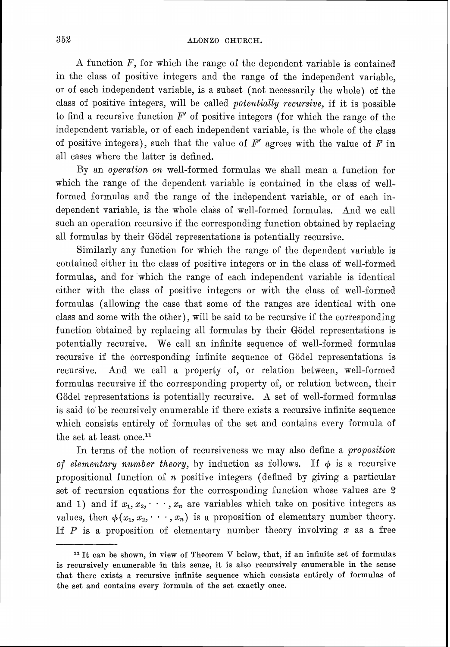A function  $F$ , for which the range of the dependent variable is contained in the class of positive integers and the range of the independent variable, or of each independent variable, is a subset (not necessarily the whole) of the class of positive integers, will be called *potentially recursive*, if it is possible to find a recursive function  $F'$  of positive integers (for which the range of the independent variable, or of each independent variable, is the whole of the class of positive integers), such that the value of  $F'$  agrees with the value of  $F$  in all cases where the latter is defined.

By an *operation on* well-formed formulas we shall mean a function for which the range of the dependent variable is contained in the class of wellformed formulas and the range of the independent variable, or of each independent variable, is the whole class of well-formed formulas. And we call such an operation recursive if the corresponding function obtained by replacing all formulas by their Gödel representations is potentially recursive.

Similarly any function for which the range of the dependent variable is contained either in the class of positive integers or in the class of well-formed formulas, and for which the range of each independent variable is identical either with the class of positive integers or with the class of well-formed formulas (allowing the case that some of the ranges are identical with one class and some with the other), will be said to be recursive if the corresponding function obtained by replacing all formulas by their Gödel representations is potentially recursive. We call an infinite sequence of well-formed formulas recursive if the corresponding infinite sequence of Godel representations is recursive. And we call a property of, or relation between, well-formed formulas recursive if the corresponding property of, or relation between, their Gödel representations is potentially recursive. A set of well-formed formulas is said to be recursively enumerable if there exists a recursive infinite sequence which consists entirely of formulas of the set and contains every formula of the set at least once.<sup>11</sup>

In terms of the notion of recursiveness we may also define a *proposition* of elementary number theory, by induction as follows. If  $\phi$  is a recursive propositional function of  $n$  positive integers (defined by giving a particular set of recursion equations for the corresponding function whose values are **2**  and 1) and if  $x_1, x_2, \dots, x_n$  are variables which take on positive integers as values, then  $\phi(x_1, x_2, \dots, x_n)$  is a proposition of elementary number theory. If  $P$  is a proposition of elementary number theory involving  $x$  as a free

*It can be shown, in view of Theorem V below, that, if an infinite set of formulas is recursively enumerable in this sense, it is also recursively enumerable in the sense that there exists a recursive infiilite sequence which consists entirely of formulas of the set and contains every formula of the set exactly once.*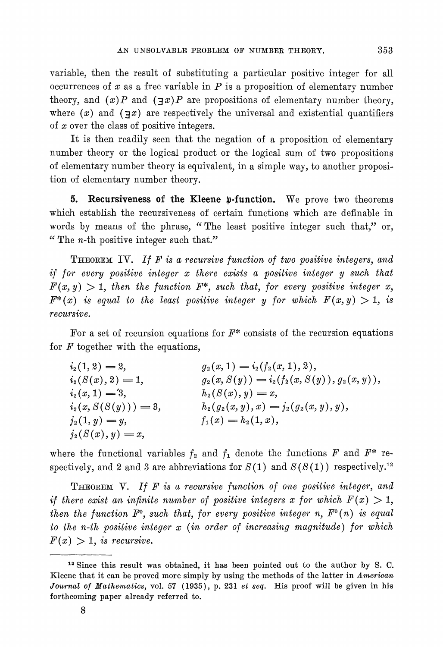variable, then the result of substituting a particular positive integer for all occurrences of  $x$  as a free variable in  $P$  is a proposition of elementary number theory, and  $(x)P$  and  $(\exists x)P$  are propositions of elementary number theory, where  $(x)$  and  $(7x)$  are respectively the universal and existential quantifiers of x over the class of positive integers.

It is then readily seen that the negation of a proposition of elementary number theory or the logical product or the logical sum of two propositions of elementary number theory is equivalent, in a simple way, to another proposition of elementary number theory.

5. Recursiveness of the Kleene  $\nu$ -function. We prove two theorems which establish the recursiveness of certain functions which are definable in words by means of the phrase, "The least positive integer such that," or, "The n-th positive integer such that."

THEOREMIT. *If P is a recursive function of two positive integers, and if for every positive integer x there exists a positive integer y such that*   $F(x, y) > 1$ , then the function  $F^*$ , such that, for every positive integer x,  $F^*(x)$  is equal to the least positive integer y for which  $F(x, y) > 1$ , is *recursive.* 

For a set of recursion equations for  $F^*$  consists of the recursion equations for *F* together with the equations,

 $i_2(1,2)=2.$  $q_2(x,1) = i_2(f_2(x,1),2),$  $i_2(S(x), 2) = 1,$  $g_2(x, S(y)) = i_2(f_2(x, S(y)), g_2(x, y)),$  $i_2(x, 1) = 3$ ,  $h_2(S(x), y) = x,$  $i_2(x, S(S(y))) = 3,$  $h_2(g_2(x, y), x) = j_2(g_2(x, y), y),$  $j_2(1, y) = y,$  $f_1(x) = h_2(1, x),$  $j_2(S(x), y) = x,$ 

where the functional variables  $f_2$  and  $f_1$  denote the functions  $F$  and  $F^*$  respectively, and 2 and 3 are abbreviations for  $S(1)$  and  $S(S(1))$  respectively.<sup>12</sup>

THEOREM6:. *If F is a recursive function of one positive integer, and if there exist an infinite number of positive integers x for which*  $F(x) > 1$ , *then the function*  $F^{\circ}$ *, such that, for every positive integer n,*  $F^{\circ}(n)$  is equal  $to$  the n-th positive integer  $x$  (in order of increasing magnitude) for which  $F(x) > 1$ , *is recursive.* 

<sup>&</sup>lt;sup>12</sup> Since this result was obtained, it has been pointed out to the author by S. C. Kleene that it can be proved more simply by using the methods of the latter in *American Journal of Mathematics,* vol. 57 (1935), p. 231 et *seq.* His proof will be given in his forthcoming paper already referred to.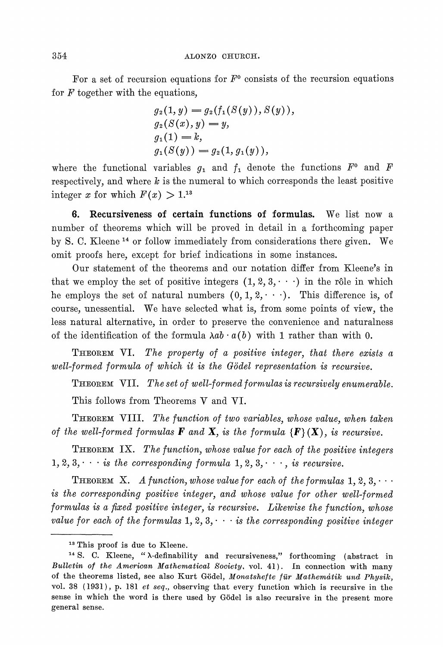For a set of recursion equations for  $F^{\circ}$  consists of the recursion equations for  $F$  together with the equations,

$$
g_2(1, y) = g_2(f_1(S(y)), S(y)),
$$
  
\n
$$
g_2(S(x), y) = y,
$$
  
\n
$$
g_1(1) = k,
$$
  
\n
$$
g_1(S(y)) = g_2(1, g_1(y)),
$$

where the functional variables  $g_1$  and  $f_1$  denote the functions  $F^0$  and  $F$ respectively, and where  $k$  is the numeral to which corresponds the least positive integer x for which  $F(x) > 1$ <sup>13</sup>

6. Recursiveness of certain functions of formulas. We list now a number of theorems which will be proved in detail in a forthcoming paper by 8. C. Kleene **l4** or follow immediately from considerations there given. We omit proofs here, except for brief indications in some instances.

Our statement of the theorems and our notation differ from Kleene's in that we employ the set of positive integers  $(1, 2, 3, \dots)$  in the rôle in which he employs the set of natural numbers  $(0,1,2,\cdot\cdot\cdot)$ . This difference is, of course, unessential. We have selected what is, from some points of view, the less natural alternative, in order to preserve the convenience and naturalness of the identification of the formula  $\lambda ab \cdot a(b)$  with 1 rather than with 0.

THEOREM VI. The property of a positive integer, that there exists a well-formed formula of which it is the Gödel representation is recursive.

THEOREM VII. The set of well-formed formulas is recursively enumerable.

This follows from Theorems V and VI.

THEOREM VIII. The function of two variables, whose value, when taken of the well-formed formulas **F** and **X**, is the formula  $\{F\}(X)$ , is recursive.

THEOREM IX. The function, whose value for each of the positive integers  $1, 2, 3, \dots$  is the corresponding formula  $1, 2, 3, \dots$ , is recursive.

THEOREM X. A function, whose value for each of the formulas  $1, 2, 3, \cdots$ is the corresponding positive integer, and whose value for other well-formed formulas is a fixed positive integer, is recursive. Likewise the function, whose value for each of the formulas  $1, 2, 3, \cdots$  is the corresponding positive integer

<sup>&</sup>lt;sup>13</sup> This proof is due to Kleene.

**l4 5.** C. Kleene, "A-definability and recursiveness," forthcoming (abstract in *Bulletin of the American Mathematical Society, vol. 41). In connection with many* of the theorems listed, see also Kurt GGdel, *Monatshefte fur Muthematik und I'hysik,*  vol. 38 (1931), p. 181 *et seq.,* observing that every function which is recursive in the sense in which the word is there used by Godel is also recursive in the present more general sense.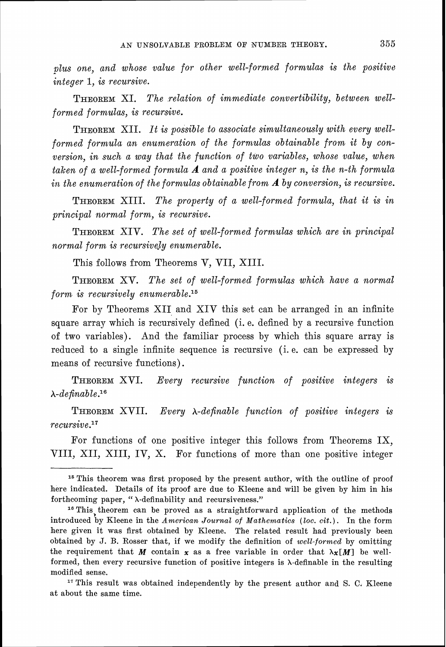*wlus one, and whose value for other well-formed formulas is the positive integer 1, is recursive.* 

THEOREM*XI. The relation of immediate convertibility, between wellformed formulas, is recursive.* 

THEOREM*XII. It is possible to associate simultaneously with every wellformed formula an enumeration of the formulas obtainable from it by conversion, in such a way that the function of two variables, whose value, when taken of a well-formed formula A and a positive integer n, is the n-th formula*   $\dot{a}$  in the enumeration of the formulas obtainable from  $\boldsymbol{A}$  by conversion, is recursive.

**THEOREM** XIII. The property of a well-formed formula, that it is in *principal normal form, is recursive.* 

**THEOREM XIV.** The set of well-formed formulas which are in principal *normal form is recursively enumerable.* 

This follows from Theorems *V*, *VII, XIII.* 

THEOREM*XV. The set of well-formed formulas which have a normal form is recursively enumerable.*<sup>15</sup>

For by Theorems *XI1* and *XIV* this set can be arranged in an infinite square array which is recursively defined (i. e. defined by a recursive function of two variables). And the familiar process by which this square array is reduced to a single infinite sequence is recursive (i. e. can be expressed by means of recursive functions).

**THEOREM XVI.** Every recursive function of positive integers is *A-definable.16* 

THEOREM*XVII. Every A-definable function of positive integers is*   $recursively.<sup>17</sup>$ 

For functions of one positive integer this follows from Theorems *IX, VIII, XII, XIII, IV, X.* For functions of more than one positive integer

<sup>17</sup> This result was obtained independently by the present author and S. C. Kleene at about the same time.

<sup>&</sup>lt;sup>15</sup> This theorem was first proposed by the present author, with the outline of proof here indicated. Details of its proof are due to Kleene and will be given by him in his forthcoming paper, " A-definability and recursiveness."

<sup>&</sup>lt;sup>16</sup> This theorem can be proved as a straightforward application of the methods introduced by Kleene in the *American Journal of Mathematics (loc. cit.)*. In the form here given it was first obtained by Kleene. The related result had previously been obtained by J. B. Rosser that, if we modify the definition of *well-formed* by omitting the requirement that M contain x as a free variable in order that  $\lambda x[M]$  be wellformed, then every recursive function of positive integers is  $\lambda$ -definable in the resulting modified sense.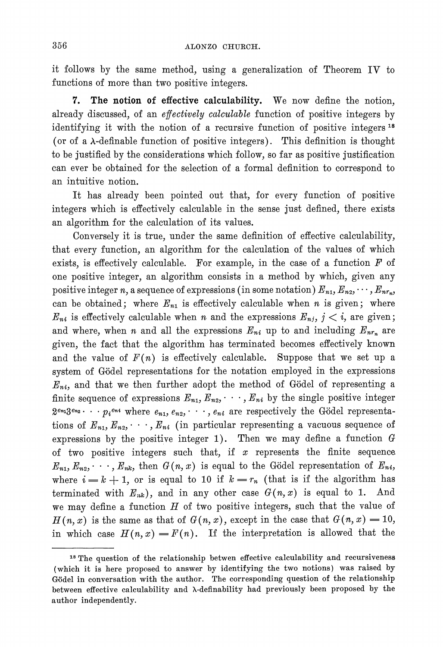it follows by the same method, using a generalization of Theorem IV to functions of more than two positive integers.

**7.** The notion of effective calculability. We now define the notion, already discussed, of an *effectively calculable* function of positive integers by identifying it with the notion of a recursive function of positive integers **l8**  (or of a  $\lambda$ -definable function of positive integers). This definition is thought to be justified by the considerations which follow, so far as positive justification can ever be obtained for the selection of a formal definition to correspond to an intuitive notion.

It has already been pointed out that, for every function of positive integers which is effectively calculable in the sense just defined, there exists an algorithm for the calculation of its values.

Conversely it is true, under the same definition of effective calculability, that every function, an algorithm for the calculation of the values of which exists, is effectively calculable. For example, in the case of a function *P* of one positive integer, an algorithm consists in a method by which, given any positive integer n, a sequence of expressions (in some notation)  $E_{n_1}, E_{n_2}, \cdots, E_{n_r}$ can be obtained; where  $E_{n_1}$  is effectively calculable when n is given; where  $E_{ni}$  is effectively calculable when n and the expressions  $E_{ni}$ ,  $j < i$ , are given; and where, when n and all the expressions  $E_{ni}$  up to and including  $E_{nr_n}$  are given, the fact that the algorithm has terminated becomes effectively known and the value of  $F(n)$  is effectively calculable. Suppose that we set up a system of Godel representations for the notation employed in the expressions  $E_{ni}$ , and that we then further adopt the method of Gödel of representing a finite sequence of expressions  $E_{n_1}, E_{n_2}, \cdots, E_{n_i}$  by the single positive integer  $2^{e_{n_1}}3^{e_{n_2}}\cdots p_i^{e_{n_i}}$  where  $e_{n_1}, e_{n_2}, \cdots, e_{n_i}$  are respectively the Gödel representations of  $E_{n_1}, E_{n_2}, \cdots, E_{n_i}$  (in particular representing a vacuous sequence of expressions by the positive integer 1). Then we may define a function  $G$ of two positive integers such that, if  $x$  represents the finite sequence.  $E_{n_1}, E_{n_2}, \cdots, E_{nk}$ , then  $G(n, x)$  is equal to the Gödel representation of  $E_{ni}$ , where  $i = k + 1$ , or is equal to 10 if  $k = r_n$  (that is if the algorithm has terminated with  $E_{nk}$ , and in any other case  $G(n, x)$  is equal to 1. And we may define a function  $H$  of two positive integers, such that the value of  $H(n, x)$  is the same as that of  $G(n, x)$ , except in the case that  $G(n, x) = 10$ , in which case  $H(n, x) = F(n)$ . If the interpretation is allowed that the

<sup>&</sup>lt;sup>18</sup> The question of the relationship betwen effective calculability and recursiveness (which it is here proposed to answer by identifying the two notions) was raised by Gödel in conversation with the author. The corresponding question of the relationship between effective calculability and A-definability had previously been proposed by the author independently.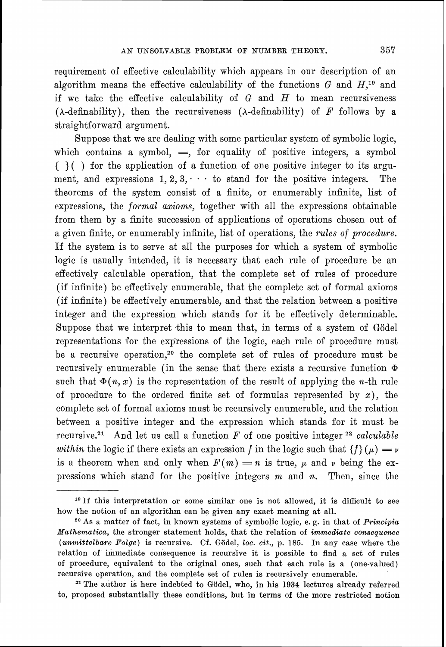requirement of effective calculability which appears in our description of an algorithm means the effective calculability of the functions  $G$  and  $H$ <sup>19</sup>, and if we take the effective calculability of  $G$  and  $H$  to mean recursiveness ( $\lambda$ -definability), then the recursiveness ( $\lambda$ -definability) of F follows by a straightforward argument.

Suppose that we are dealing with some particular system of symbolic logic, which contains a symbol,  $\Rightarrow$ , for equality of positive integers, a symbol { } ( ) for the application of a function of one positive integer to its argument, and expressions  $1, 2, 3, \cdots$  to stand for the positive integers. The theorems of the system consist of a finite, or enumerably infinite, list of expressions, the formal axioms, together with all the expressions obtainable from them by a finite succession of applications of operations chosen out of a given finite, or enumerably infinite, list of operations, the rules of procedure. If the system is to serve at all the purposes for which a system of symbolic logic is usually intended, it is necessary that each rule of procedure be an effectively calculable operation, that the complete set of rules of procedure (if infinite) be effectively enumerable, that the complete set of formal axioms (if infinite) be effectively enumerable, and that the relation between a positive integer and the expression which stands for it be effectively determinable. Suppose that we interpret this to mean that, in terms of a system of Godel representations for the expressions of the logic, each rule of procedure must be a recursive operation,<sup>20</sup> the complete set of rules of procedure must be recursively enumerable (in the sense that there exists a recursive function  $\Phi$ such that  $\Phi(n, x)$  is the representation of the result of applying the *n*-th rule of procedure to the ordered finite set of formulas represented by  $x$ ), the complete set of formal axioms must be recursively enumerable, and the relation between a positive integer and the expression which stands for it must be recursive.<sup>21</sup> And let us call a function  $F$  of one positive integer  $22$  *calculable* within the logic if there exists an expression f in the logic such that  ${f}(\mu) = \nu$ is a theorem when and only when  $F(m) = n$  is true,  $\mu$  and  $\nu$  being the expressions which stand for the positive integers  $m$  and  $n$ . Then, since the

<sup>&</sup>lt;sup>19</sup> If this interpretation or some similar one is not allowed, it is difficult to see how the notion of an algorithm can be given any exact meaning at all.

<sup>&</sup>lt;sup>20</sup> As a matter of fact, in known systems of symbolic logic, e.g. in that of *Principia Mathernatica,* the stronger statement holds, that the relation of *immediate consequence (unmittelba~e B'olge)* is recursive. Cf. Gjjdel, *loc. cit.,* p. *185.* In any case where the relation of immediate consequence is recursive it is possible to find a set of rules of procedure, equivalent to the original ones, such that each rule is a (one-valued) recursive operation, and the complete set of rules is recursively enumerable.

The author is here indebted to GSdel, who, in his **1934** lectures already referred to, proposed substantially theae conditions, but in terms of the more restricted notion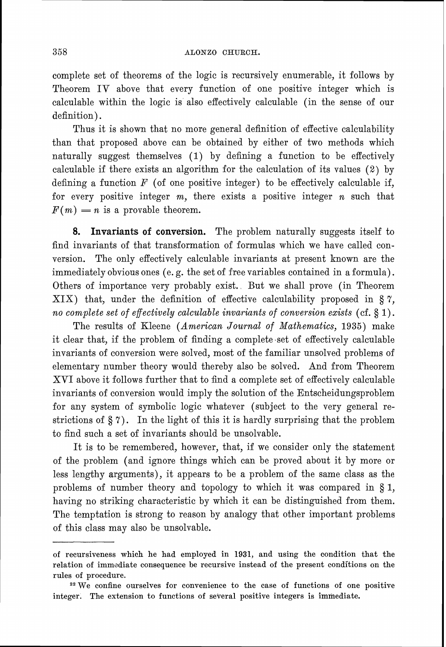complete set of theorems of the logic is recursively enumerable, it follows by Theorem IV above that every function of one positive integer which is calculable within the logic is also effectively calculable (in the sense of our definition).

Thus it is shown that no more general definition of effective calculability than that proposed above can be obtained by either of two methods which naturally suggest themselves (1) by defining a function to be effectively calculable if there exists an algorithm for the calculation of its values (2) by defining a function  $F$  (of one positive integer) to be effectively calculable if, for every positive integer  $m$ , there exists a positive integer  $n$  such that  $F(m) = n$  is a provable theorem.

8. Invariants of conversion. The problem naturally suggests itself to find invariants of that transformation of formulas which we have called conversion. The only effectively calculable invariants at present known are the immediately obvious ones (e. g. the set of free variables contained in a formula). Others of importance very probably exist. But we shall prove (in Theorem XIX) that, under the definition of effective calculability proposed in \$ 7, no complete set of effectively calculable invariants of conversion exists  $(cf. § 1)$ .

The results of Kleene (American Journal of Mathematics, 1935) make it clear that, if the problem of finding a complete,set of effectively calculable invariants of conversion were solved, most of the familiar unsolved problems of elementary number theory would thereby also be solved. And from Theorem XVI above it follows further that to find a complete set of effectively calculable invariants of conversion would imply the solution of the Entscheidungsproblem for any system of symbolic logic whatever (subject to the very general restrictions of  $\S$  7). In the light of this it is hardly surprising that the problem to find such a set of invariants should be unsolvable.

It is to be remembered, however, that, if we consider only the statement of the problem (and ignore things which can be proved about it by more or less lengthy arguments), it appears to be a problem of the same class as the problems of number theory and topology to which it was compared in §1, having no striking characteristic by which it can be distinguished from them. The temptation is strong to reason by analogy that other important problems of this class may also be unsolvable.

of recursiveness which he had employed in 1931, and using the condition that the relation of immadiate consequence be recursive instead of the present conditions on the rules of procedure.

<sup>&</sup>lt;sup>22</sup>We confine ourselves for convenience to the case of functions of one positive integer. The extension to functions of several positive integers is immediate.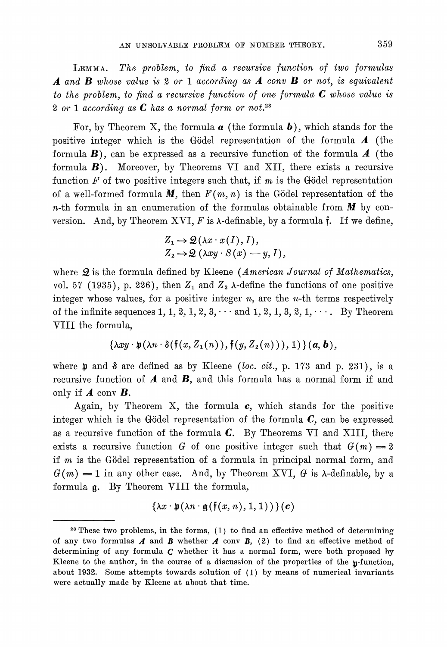LEMMA. The problem, to find a recursive function of two formulas *A* and **B** whose value is 2 or 1 according as *A* conv **B** or not, is equivalent to the problem, to find a recursive function of one formula  $C$  whose value is  $2$  or 1 according as  $C$  has a normal form or not.<sup>23</sup>

For, by Theorem X, the formula  $\boldsymbol{a}$  (the formula  $\boldsymbol{b}$ ), which stands for the positive integer which is the Godel representation of the formula *A* (the formula  $\boldsymbol{B}$ ), can be expressed as a recursive function of the formula  $\boldsymbol{A}$  (the formula  $\boldsymbol{B}$ ). Moreover, by Theorems VI and XII, there exists a recursive function F of two positive integers such that, if  $m$  is the Godel representation of a well-formed formula  $M$ , then  $F(m, n)$  is the Gödel representation of the n-th formula in an enumeration of the formulas obtainable from  $M$  by conversion. And, by Theorem XVI,  $F$  is  $\lambda$ -definable, by a formula  $\mathfrak{f}$ . If we define,

$$
Z_1 \to \mathcal{Q}(\lambda x \cdot x(I), I),
$$
  
\n
$$
Z_2 \to \mathcal{Q}(\lambda xy \cdot S(x) - y, I),
$$

where  $Q$  is the formula defined by Kleene (American Journal of Mathematics, vol. 57 (1935), p. 226), then  $Z_1$  and  $Z_2$   $\lambda$ -define the functions of one positive integer whose values, for a positive integer  $n$ , are the  $n$ -th terms respectively of the infinite sequences  $1,1,2,1,2,3,\cdots$  and  $1,2,1,3,2,1,\cdots$ . By Theorem VIII the formula,

$$
\{\lambda xy \cdot \mathfrak{p}(\lambda n \cdot \delta(\mathfrak{f}(x, Z_1(n)), \mathfrak{f}(y, Z_2(n))), 1)\} (a, b),
$$

where  $\mathfrak p$  and  $\delta$  are defined as by Kleene (loc. cit., p. 173 and p. 231), is a recursive function of  $A$  and  $B$ , and this formula has a normal form if and only if *A* conv B.

Again, by Theorem X, the formula **c,** which stands for the positive integer which is the Gödel representation of the formula  $C$ , can be expressed as a recursive function of the formula  $C$ . By Theorems VI and XIII, there exists a recursive function G of one positive integer such that  $G(m) = 2$ if  $m$  is the Gödel representation of a formula in principal normal form, and  $G(m) = 1$  in any other case. And, by Theorem XVI, G is  $\lambda$ -definable, by a formula **g.** By Theorem VIII the formula,

$$
\{\lambda x \cdot \mathfrak{p}(\lambda n \cdot \mathfrak{g}(\mathfrak{f}(x,n),1,1))\}(c)
$$

**<sup>25</sup>**These two problems, in the forms, **( 1**) to find an effective method of determining of any two formulas  $\boldsymbol{A}$  and  $\boldsymbol{B}$  whether  $\boldsymbol{A}$  conv  $\boldsymbol{B}$ , (2) to find an effective method of determining of any formula **C** whether it has a normal form, were both proposed by Kleene to the author, in the course of a discussion of the properties of the  $p_i$ -function, about **1932.** Some attempts towards solution of (1) by means of numerical invariants were actually made by Kleene at about that time.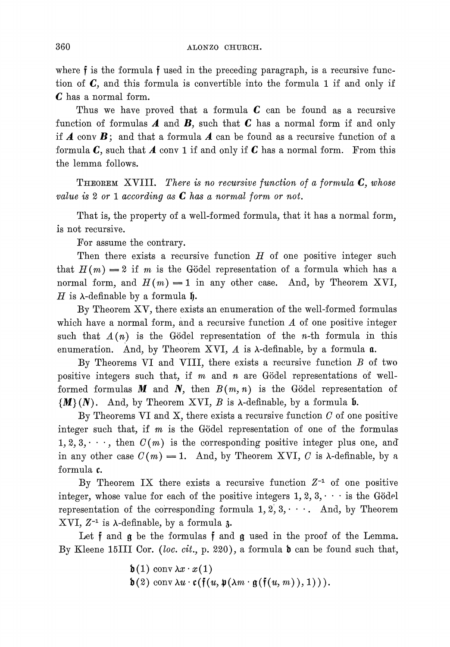where f is the formula f used in the preceding paragraph, is a recursive function of  $C$ , and this formula is convertible into the formula 1 if and only if C has a normal form.

Thus we have proved that a formula  $C$  can be found as a recursive function of formulas  $\boldsymbol{A}$  and  $\boldsymbol{B}$ , such that  $\boldsymbol{C}$  has a normal form if and only if *A* conv *B;* and that a formula *A* can be found as a recursive function of a formula  $C$ , such that  $A$  conv 1 if and only if  $C$  has a normal form. From this the lemma follows.

**THEOREM XVIII.** There is no recursive function of a formula  $C$ , whose value is 2 or 1 according as  $C$  has a normal form or not.

That is, the property of a well-formed formula, that it has a normal form, is not recursive.

For assume the contrary.

Then there exists a recursive function  $H$  of one positive integer such that  $H(m) = 2$  if m is the Gödel representation of a formula which has a. normal form, and  $H(m) = 1$  in any other case. And, by Theorem XVI, H is  $\lambda$ -definable by a formula  $\mathfrak{h}$ .

By Theorem XV, there exists an enumeration of the well-formed formulas which have a normal form, and a recursive function *A* of one positive integer such that  $A(n)$  is the Gödel representation of the *n*-th formula in this enumeration. And, by Theorem XVI,  $A$  is  $\lambda$ -definable, by a formula  $\mathfrak{a}$ .

By Theorems VI and VIII, there exists a recursive function  $B$  of two positive integers such that, if  $m$  and  $n$  are Gödel representations of wellformed formulas **M** and **N**, then  $B(m, n)$  is the Godel representation of  ${M}(N)$ . And, by Theorem XVI, B is  $\lambda$ -definable, by a formula **b**.

By Theorems VI and X, there exists a recursive function  $C$  of one positive integer such that, if  $m$  is the Gödel representation of one of the formulas  $1, 2, 3, \dots$ , then  $C(m)$  is the corresponding positive integer plus one, and in any other case  $C(m) = 1$ . And, by Theorem XVI, C is  $\lambda$ -definable, by a formula *c.* 

By Theorem IX there exists a recursive function  $Z^{-1}$  of one positive integer, whose value for each of the positive integers  $1, 2, 3, \cdots$  is the Gödel representation of the corresponding formula  $1, 2, 3, \cdots$ . And, by Theorem XVI,  $Z^{-1}$  is  $\lambda$ -definable, by a formula  $\lambda$ .

Let  $f$  and  $g$  be the formulas  $f$  and  $g$  used in the proof of the Lemma. By Kleene 15III Cor. (loc. cit., p. 220), a formula  $\mathfrak b$  can be found such that,

> $\mathfrak{b}(1)$  conv  $\lambda x \cdot x(1)$  $\mathfrak{b}(2)$  conv  $\lambda u \cdot \mathfrak{c}(\mathfrak{f}(u,\mathfrak{p}(\lambda m\cdot \mathfrak{g}(\mathfrak{f}(u,m)),1))).$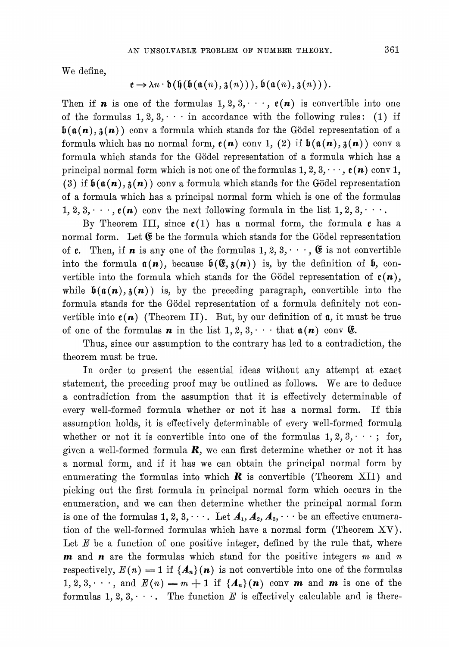We define,

$$
\mathfrak{e} \longrightarrow \lambda n \cdot \mathfrak{b}(\mathfrak{h}(\mathfrak{b}(\mathfrak{a}(n),\mathfrak{z}(n))), \mathfrak{b}(\mathfrak{a}(n),\mathfrak{z}(n))).
$$

Then if **n** is one of the formulas  $1, 2, 3, \dots$ ,  $e(n)$  is convertible into one of the formulas  $1, 2, 3, \cdots$  in accordance with the following rules: (1) if  $\mathfrak{b}(\mathfrak{a}(n), \mathfrak{z}(n))$  conv a formula which stands for the Gödel representation of a formula which has no normal form,  $e(n)$  conv 1, (2) if  $\mathfrak{b}(\mathfrak{a}(n), \mathfrak{z}(n))$  conv a formula which stands for the Gödel representation of a formula which has a principal normal form which is not one of the formulas  $1, 2, 3, \dots$ ,  $e(n)$  conv 1, (3) if  $\mathfrak{b}(\mathfrak{a}(n), \mathfrak{z}(n))$  conv a formula which stands for the Gödel representation of a formula which has a principal normal form which is one of the formulas 1, 2, 3,  $\cdots$ ,  $e(n)$  conv the next following formula in the list 1, 2, 3,  $\cdots$ .<br>By Theorem III, since  $e(1)$  has a normal form, the formula  $e$  has a

normal form. Let  $\mathfrak G$  be the formula which stands for the Gödel representation of **e.** Then, if **n** is any one of the formulas  $1, 2, 3, \dots$ ,  $\mathfrak{E}$  is not convertible into the formula  $\mathfrak{a}(n)$ , because  $\mathfrak{b}(\mathfrak{E},\mathfrak{z}(n))$  is, by the definition of  $\mathfrak{b}$ , convertible into the formula which stands for the Gödel representation of  $e(n)$ , while  $\mathfrak{b}(\mathfrak{a}(n), \mathfrak{z}(n))$  is, by the preceding paragraph, convertible into the formula stands for the Gödel representation of a formula definitely not convertible into  $e(n)$  (Theorem II). But, by our definition of a, it must be true of one of the formulas **n** in the list  $1, 2, 3, \cdots$  that  $\mathfrak{a}(n)$  conv  $\mathfrak{E}$ .

Thus, since our assumption to the contrary has led to a contradiction, the theorem must be true.

In order to present the essential ideas without any attempt at exact statement, the preceding proof may be outlined as follows. We are to deduce a contradiction from the assumption that it is effectively determinable of every well-formed formula whether or not it has a normal form. If this assumption holds, it is effectively determinable of every well-formed formula whether or not it is convertible into one of the formulas  $1, 2, 3, \dots$ ; for, given a well-formed formula  $R$ , we can first determine whether or not it has a normal form, and if it has we can obtain the principal normal form by enumerating the formulas into which  $\bf{R}$  is convertible (Theorem XII) and picking out the first formula in principal normal form which occurs in the enumeration, and we can then determine whether the principal normal form is one of the formulas 1, 2, 3,  $\cdots$ . Let  $A_1, A_2, A_3, \cdots$  be an effective enumeration of the well-formed formulas which have a normal form (Theorem XV). Let  $E$  be a function of one positive integer, defined by the rule that, where **m** and **n** are the formulas which stand for the positive integers m and n respectively,  $E(n) = 1$  if  $\{A_n\}(\mathbf{n})$  is not convertible into one of the formulas 1, 2, 3,  $\cdots$ , and  $E(n) = m + 1$  if  $\{A_n\}$  (n) conv m and m is one of the formulas 1, 2, 3,  $\cdots$ . The function E is effectively calculable and is there-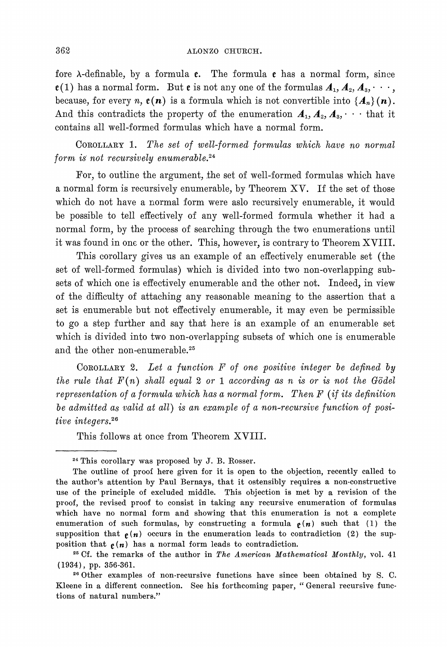fore  $\lambda$ -definable, by a formula **e**. The formula **e** has a normal form, since  $e(1)$  has a normal form. But  $e$  is not any one of the formulas  $A_1, A_2, A_3, \dots$ , because, for every *n*,  $e(n)$  is a formula which is not convertible into  ${A_n}(n)$ . And this contradicts the property of the enumeration  $A_1, A_2, A_3, \cdots$  that it contains all well-formed formulas which have a normal form.

COROLLARY1. *The set of well-formed formulas which have no normal form is not recursively enumerable.*<sup>24</sup>

For, to outline the argument, the set of well-formed formulas which have a normal form is recursively enumerable, by Theorem XV. If the set of those which do not have a normal form were aslo recursively enumerable, it would be possible to tell effectively of any well-formed formula whether it had a normal form, by the process of searching through the two enumerations until it was found in ons or the other. This, however, is contrary to Theorem XVIII.

This corollary gives us an example of an effectively enumerable set (the set of well-formed formulas) which is divided into two non-overlapping subsets of which one is effectively enumerable and the other not. Indeed, in view of the difficulty of attaching any reasonable meaning to the assertion that a set is enumerable but not effectively enumerable, it may even be permissible to go a step further and say that here is an example of an enumerable set which is divided into two non-overlapping subsets of which one is enumerable and the other non-enumerable.<sup>25</sup>

COROLLARY**2.** *Let a function F of one positive integer be defined by the rule that*  $F(n)$  *shall equal 2 or 1 according as n is or is not the Gödel representation of a formula which has a normal form. Then F (if its definition be admitted as valid at all) is an example of a non-recursive function of positive integers.26* 

This follows at once from Theorem XVIII.

<sup>&</sup>lt;sup>24</sup> This corollary was proposed by J. B. Rosser.

The outline of proof here given for it is open to the objection, recently called to the author's attention by Paul Bernays, that it ostensibly requires a non-constructive use of the principle of excluded middle. This objection is met by a revision of the proof, the revised proof to consist in taking any recursive enumeration of formulas which have no normal form and showing that this enumeration is not a complete enumeration of such formulas, by constructing a formula  $\rho(n)$  such that (1) the supposition that  $e(n)$  occurs in the enumeration leads to contradiction (2) the supposition that  $e(n)$  has a normal form leads to contradiction.

<sup>&</sup>lt;sup>25</sup> Cf. the remarks of the author in *The American Mathematical Monthly*, vol. 41 (1934), pp. 356-361.<br><sup>26</sup> Other examples of non-recursive functions have since been obtained by S. C.

Kleene in a different connection. See his forthcoming paper, "General recursive functions of natural numbers."